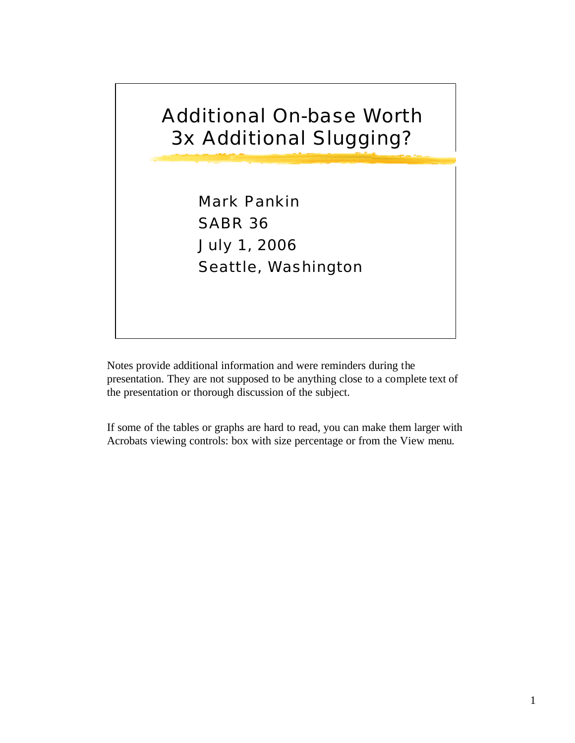

Notes provide additional information and were reminders during the presentation. They are not supposed to be anything close to a complete text of the presentation or thorough discussion of the subject.

If some of the tables or graphs are hard to read, you can make them larger with Acrobats viewing controls: box with size percentage or from the View menu.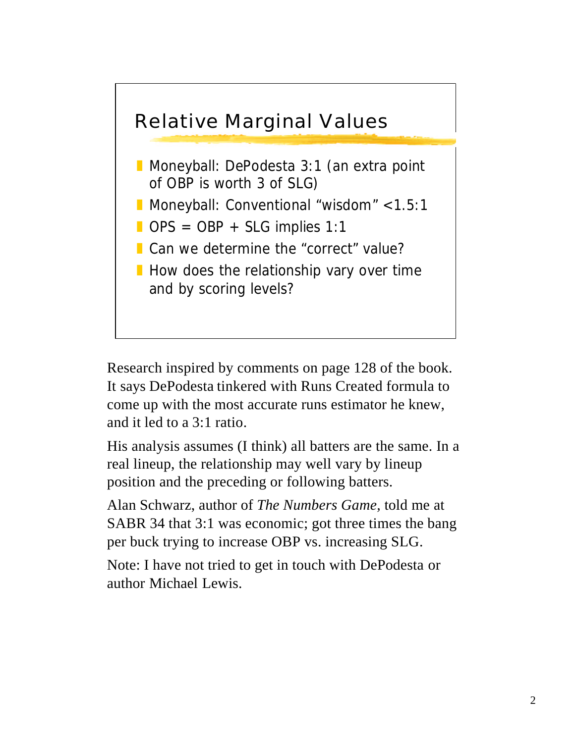

Research inspired by comments on page 128 of the book. It says DePodesta tinkered with Runs Created formula to come up with the most accurate runs estimator he knew, and it led to a 3:1 ratio.

His analysis assumes (I think) all batters are the same. In a real lineup, the relationship may well vary by lineup position and the preceding or following batters.

Alan Schwarz, author of *The Numbers Game,* told me at SABR 34 that 3:1 was economic; got three times the bang per buck trying to increase OBP vs. increasing SLG.

Note: I have not tried to get in touch with DePodesta or author Michael Lewis.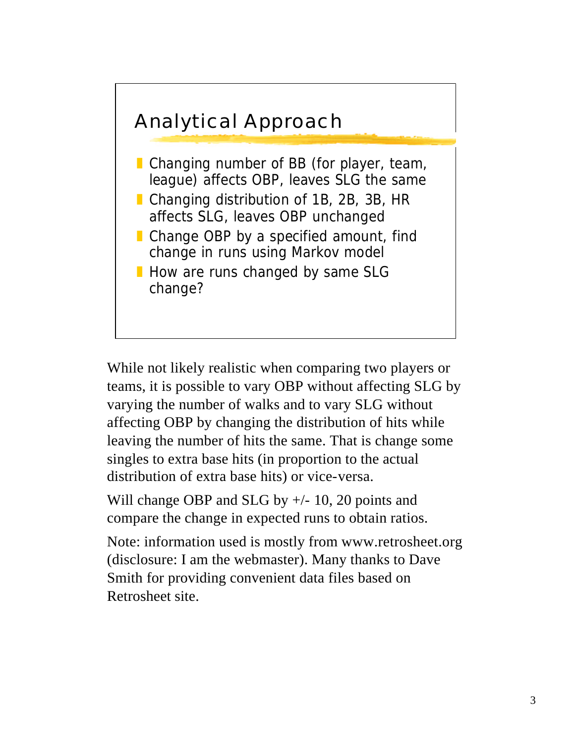

While not likely realistic when comparing two players or teams, it is possible to vary OBP without affecting SLG by varying the number of walks and to vary SLG without affecting OBP by changing the distribution of hits while leaving the number of hits the same. That is change some singles to extra base hits (in proportion to the actual distribution of extra base hits) or vice-versa.

Will change OBP and SLG by  $+/- 10$ , 20 points and compare the change in expected runs to obtain ratios.

Note: information used is mostly from www.retrosheet.org (disclosure: I am the webmaster). Many thanks to Dave Smith for providing convenient data files based on Retrosheet site.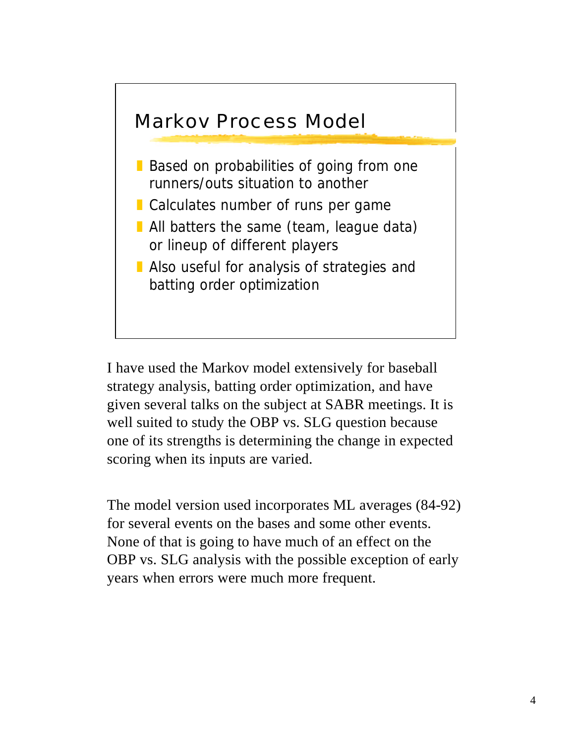

I have used the Markov model extensively for baseball strategy analysis, batting order optimization, and have given several talks on the subject at SABR meetings. It is well suited to study the OBP vs. SLG question because one of its strengths is determining the change in expected scoring when its inputs are varied.

The model version used incorporates ML averages (84-92) for several events on the bases and some other events. None of that is going to have much of an effect on the OBP vs. SLG analysis with the possible exception of early years when errors were much more frequent.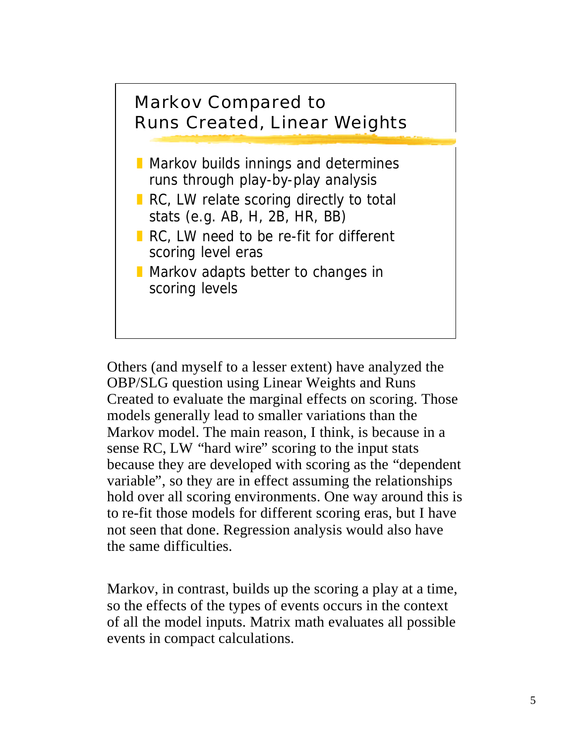

Others (and myself to a lesser extent) have analyzed the OBP/SLG question using Linear Weights and Runs Created to evaluate the marginal effects on scoring. Those models generally lead to smaller variations than the Markov model. The main reason, I think, is because in a sense RC, LW "hard wire" scoring to the input stats because they are developed with scoring as the "dependent variable", so they are in effect assuming the relationships hold over all scoring environments. One way around this is to re-fit those models for different scoring eras, but I have not seen that done. Regression analysis would also have the same difficulties.

Markov, in contrast, builds up the scoring a play at a time, so the effects of the types of events occurs in the context of all the model inputs. Matrix math evaluates all possible events in compact calculations.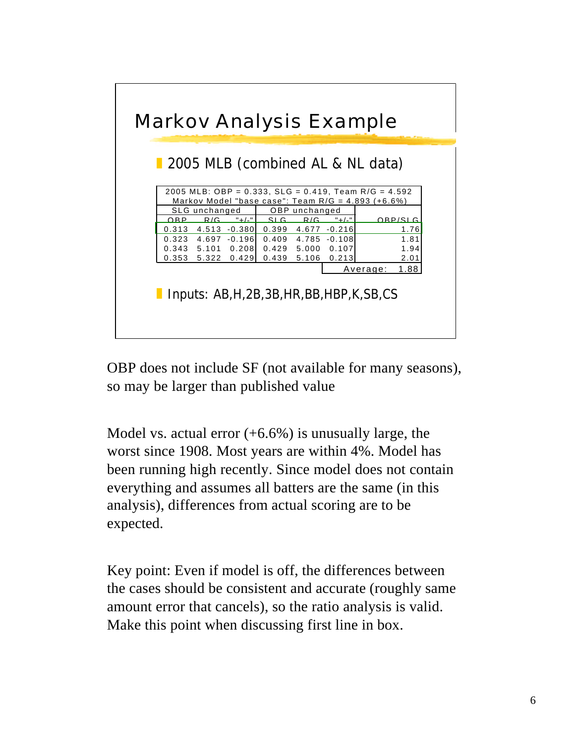

OBP does not include SF (not available for many seasons), so may be larger than published value

Model vs. actual error  $(+6.6%)$  is unusually large, the worst since 1908. Most years are within 4%. Model has been running high recently. Since model does not contain everything and assumes all batters are the same (in this analysis), differences from actual scoring are to be expected.

Key point: Even if model is off, the differences between the cases should be consistent and accurate (roughly same amount error that cancels), so the ratio analysis is valid. Make this point when discussing first line in box.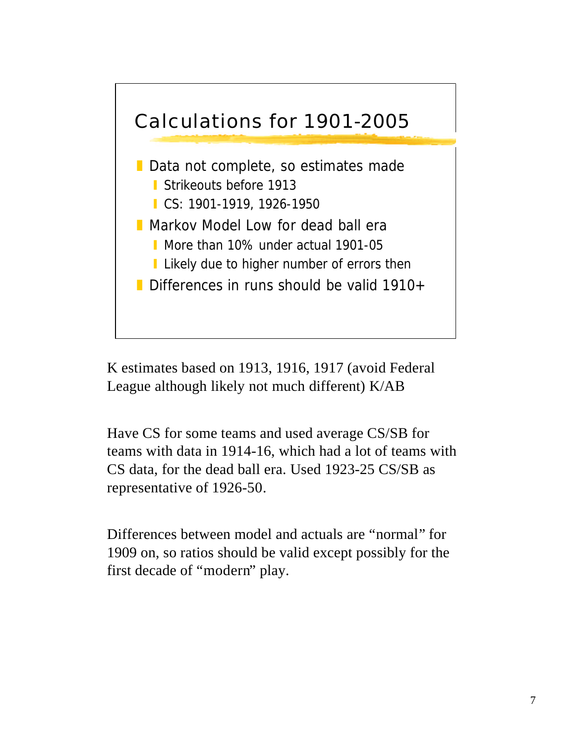

K estimates based on 1913, 1916, 1917 (avoid Federal League although likely not much different) K/AB

Have CS for some teams and used average CS/SB for teams with data in 1914-16, which had a lot of teams with CS data, for the dead ball era. Used 1923-25 CS/SB as representative of 1926-50.

Differences between model and actuals are "normal" for 1909 on, so ratios should be valid except possibly for the first decade of "modern" play.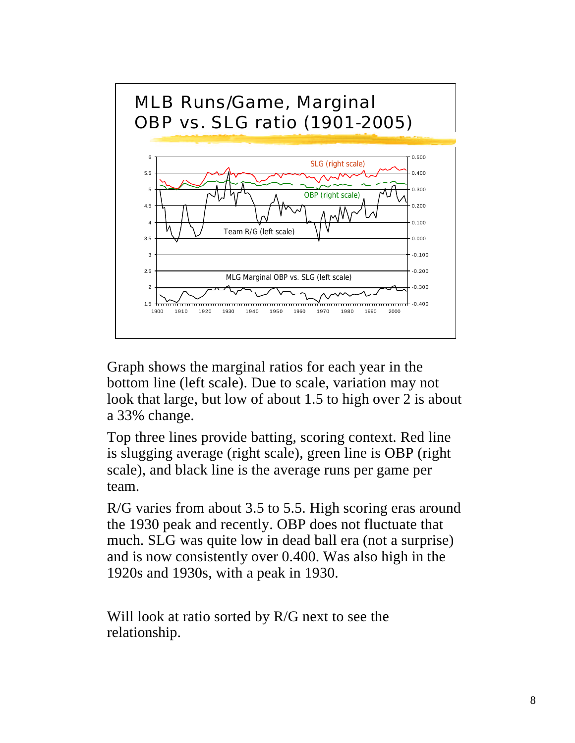

Graph shows the marginal ratios for each year in the bottom line (left scale). Due to scale, variation may not look that large, but low of about 1.5 to high over 2 is about a 33% change.

Top three lines provide batting, scoring context. Red line is slugging average (right scale), green line is OBP (right scale), and black line is the average runs per game per team.

R/G varies from about 3.5 to 5.5. High scoring eras around the 1930 peak and recently. OBP does not fluctuate that much. SLG was quite low in dead ball era (not a surprise) and is now consistently over 0.400. Was also high in the 1920s and 1930s, with a peak in 1930.

Will look at ratio sorted by R/G next to see the relationship.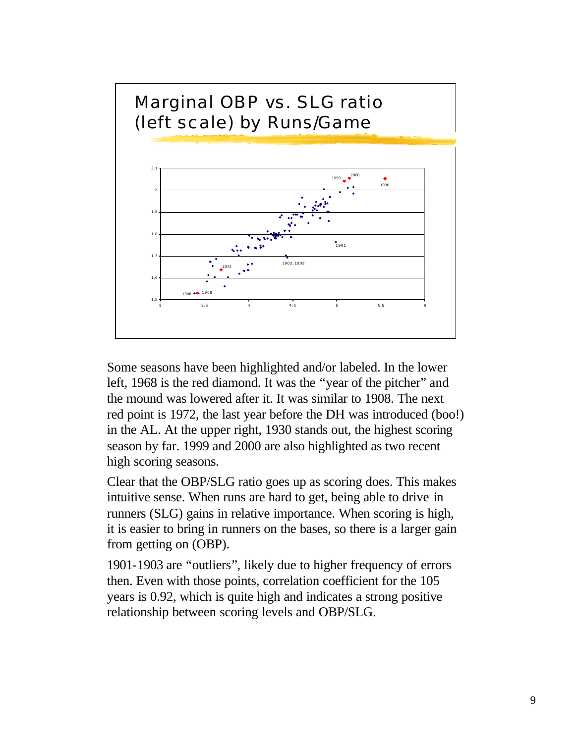

Some seasons have been highlighted and/or labeled. In the lower left, 1968 is the red diamond. It was the "year of the pitcher" and the mound was lowered after it. It was similar to 1908. The next red point is 1972, the last year before the DH was introduced (boo!) in the AL. At the upper right, 1930 stands out, the highest scoring season by far. 1999 and 2000 are also highlighted as two recent high scoring seasons.

Clear that the OBP/SLG ratio goes up as scoring does. This makes intuitive sense. When runs are hard to get, being able to drive in runners (SLG) gains in relative importance. When scoring is high, it is easier to bring in runners on the bases, so there is a larger gain from getting on (OBP).

1901-1903 are "outliers", likely due to higher frequency of errors then. Even with those points, correlation coefficient for the 105 years is 0.92, which is quite high and indicates a strong positive relationship between scoring levels and OBP/SLG.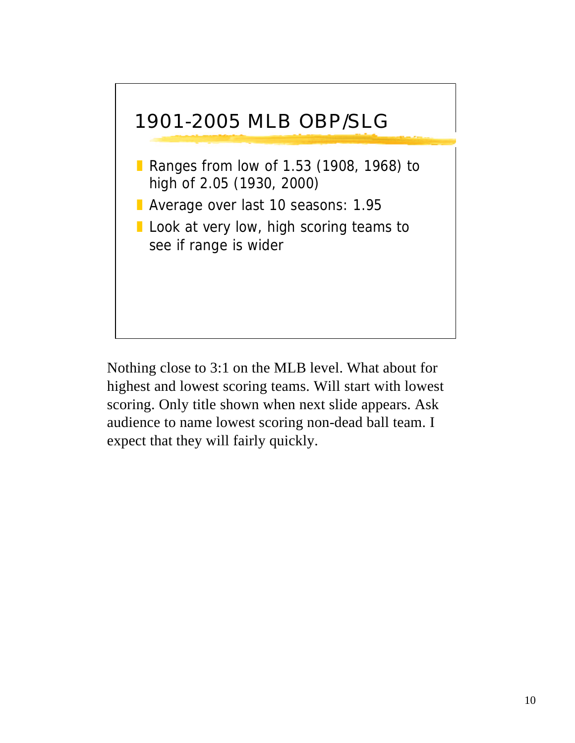

Nothing close to 3:1 on the MLB level. What about for highest and lowest scoring teams. Will start with lowest scoring. Only title shown when next slide appears. Ask audience to name lowest scoring non-dead ball team. I expect that they will fairly quickly.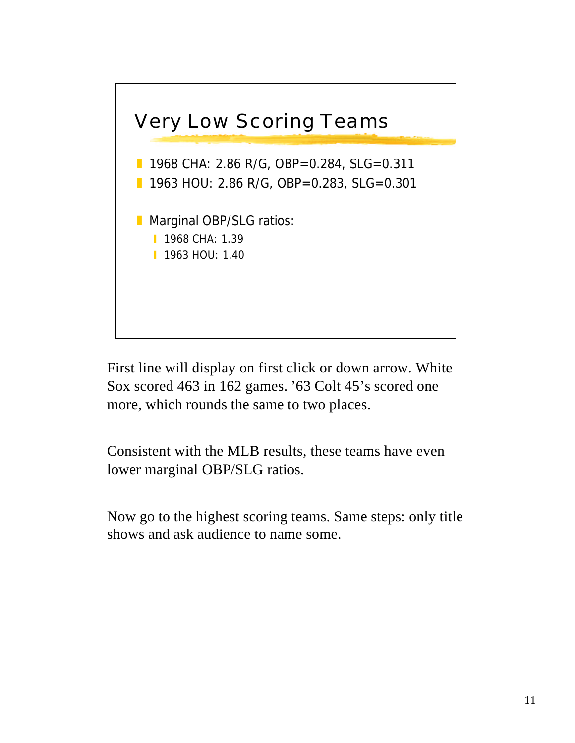

First line will display on first click or down arrow. White Sox scored 463 in 162 games. '63 Colt 45's scored one more, which rounds the same to two places.

Consistent with the MLB results, these teams have even lower marginal OBP/SLG ratios.

Now go to the highest scoring teams. Same steps: only title shows and ask audience to name some.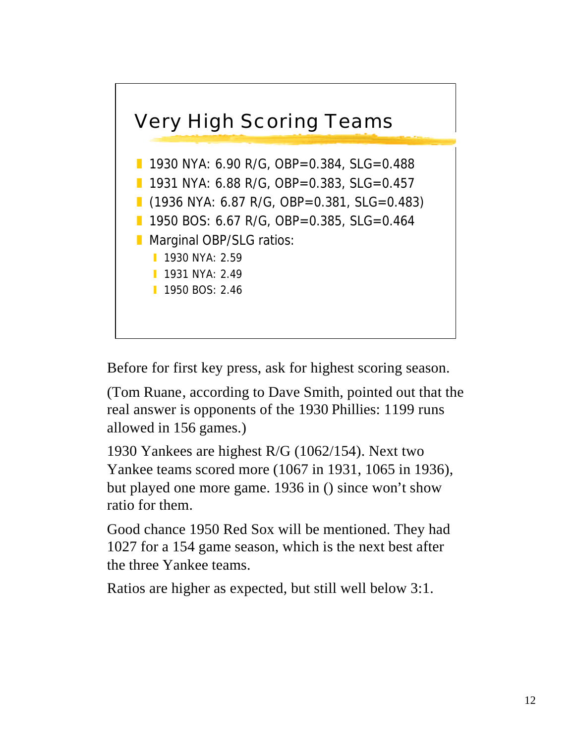

Before for first key press, ask for highest scoring season.

(Tom Ruane, according to Dave Smith, pointed out that the real answer is opponents of the 1930 Phillies: 1199 runs allowed in 156 games.)

1930 Yankees are highest R/G (1062/154). Next two Yankee teams scored more (1067 in 1931, 1065 in 1936), but played one more game. 1936 in () since won't show ratio for them.

Good chance 1950 Red Sox will be mentioned. They had 1027 for a 154 game season, which is the next best after the three Yankee teams.

Ratios are higher as expected, but still well below 3:1.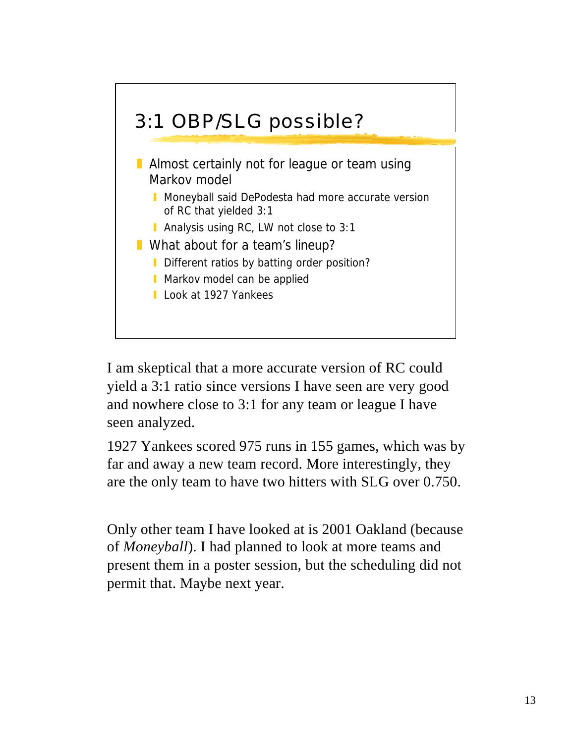

I am skeptical that a more accurate version of RC could yield a 3:1 ratio since versions I have seen are very good and nowhere close to 3:1 for any team or league I have seen analyzed.

1927 Yankees scored 975 runs in 155 games, which was by far and away a new team record. More interestingly, they are the only team to have two hitters with SLG over 0.750.

Only other team I have looked at is 2001 Oakland (because of *Moneyball*). I had planned to look at more teams and present them in a poster session, but the scheduling did not permit that. Maybe next year.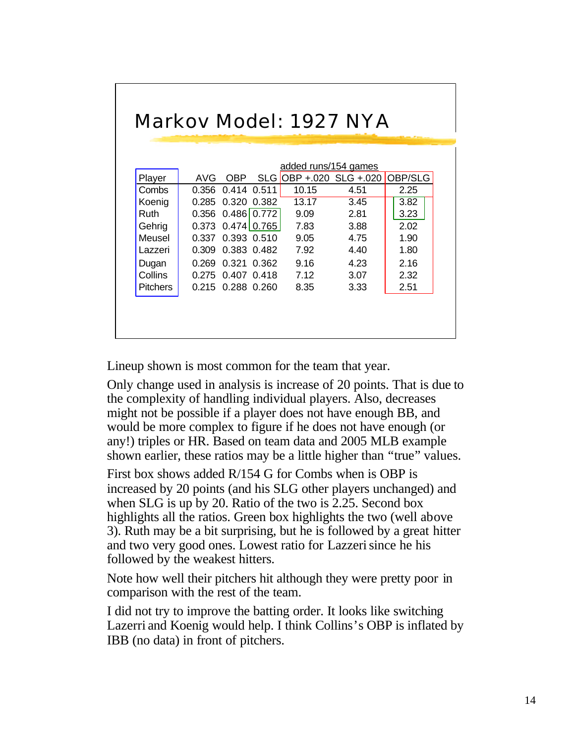|                 | added runs/154 games |                       |       |       |                         |         |
|-----------------|----------------------|-----------------------|-------|-------|-------------------------|---------|
| Player          | AVG                  | OBP.                  |       |       | SLG OBP + 020 SLG + 020 | OBP/SLG |
| Combs           | 0.356                | 0.414                 | 0.511 | 10.15 | 4.51                    | 2.25    |
| Koenig          | 0.285                | 0.320 0.382           |       | 13.17 | 3.45                    | 3.82    |
| Ruth            |                      | $0.356$ $0.486$ 0.772 |       | 9.09  | 2.81                    | 3.23    |
| Gehrig          |                      | $0.373$ $0.474$ 0.765 |       | 7.83  | 3.88                    | 2.02    |
| Meusel          |                      | 0.337 0.393 0.510     |       | 9.05  | 4.75                    | 1.90    |
| Lazzeri         | 0.309                | 0.383 0.482           |       | 7.92  | 4.40                    | 1.80    |
| Dugan           | 0.269                | 0.321                 | 0.362 | 9.16  | 4.23                    | 2.16    |
| Collins         | 0.275                | 0.407 0.418           |       | 7.12  | 3.07                    | 2.32    |
| <b>Pitchers</b> | 0.215                | 0.288 0.260           |       | 8.35  | 3.33                    | 2.51    |

Lineup shown is most common for the team that year.

Only change used in analysis is increase of 20 points. That is due to the complexity of handling individual players. Also, decreases might not be possible if a player does not have enough BB, and would be more complex to figure if he does not have enough (or any!) triples or HR. Based on team data and 2005 MLB example shown earlier, these ratios may be a little higher than "true" values.

First box shows added R/154 G for Combs when is OBP is increased by 20 points (and his SLG other players unchanged) and when SLG is up by 20. Ratio of the two is 2.25. Second box highlights all the ratios. Green box highlights the two (well above 3). Ruth may be a bit surprising, but he is followed by a great hitter and two very good ones. Lowest ratio for Lazzerisince he his followed by the weakest hitters.

Note how well their pitchers hit although they were pretty poor in comparison with the rest of the team.

I did not try to improve the batting order. It looks like switching Lazerri and Koenig would help. I think Collins's OBP is inflated by IBB (no data) in front of pitchers.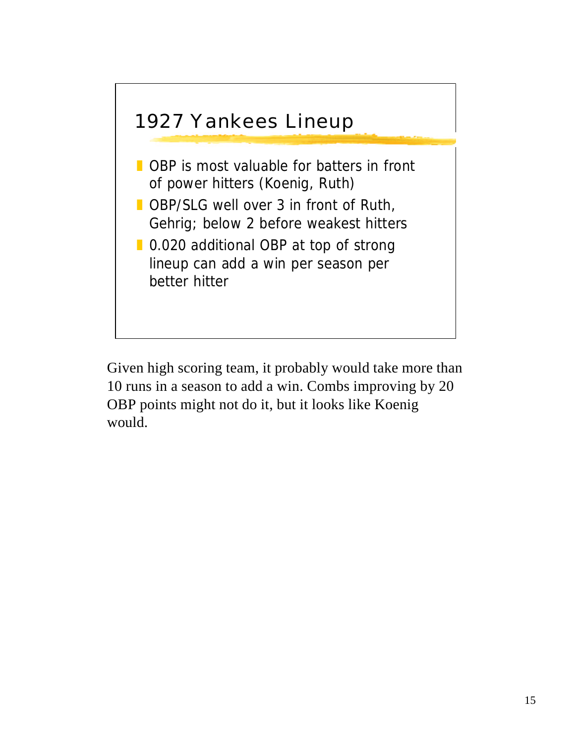

Given high scoring team, it probably would take more than 10 runs in a season to add a win. Combs improving by 20 OBP points might not do it, but it looks like Koenig would.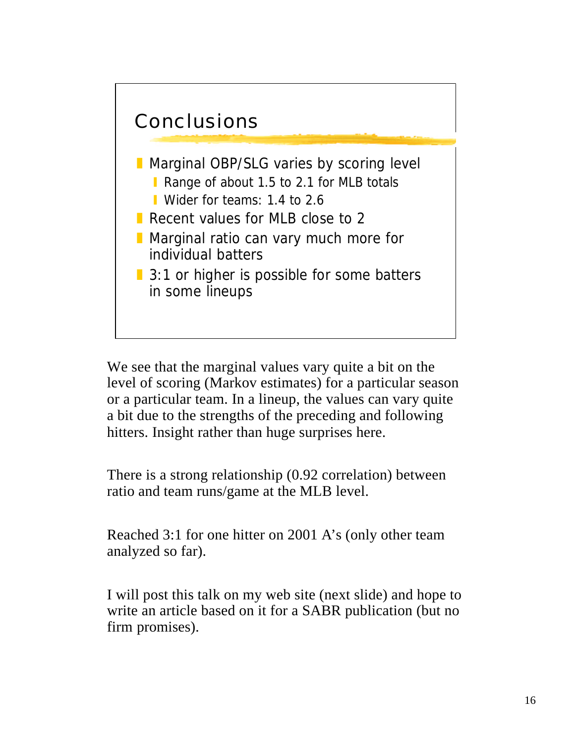

We see that the marginal values vary quite a bit on the level of scoring (Markov estimates) for a particular season or a particular team. In a lineup, the values can vary quite a bit due to the strengths of the preceding and following hitters. Insight rather than huge surprises here.

There is a strong relationship (0.92 correlation) between ratio and team runs/game at the MLB level.

Reached 3:1 for one hitter on 2001 A's (only other team analyzed so far).

I will post this talk on my web site (next slide) and hope to write an article based on it for a SABR publication (but no firm promises).